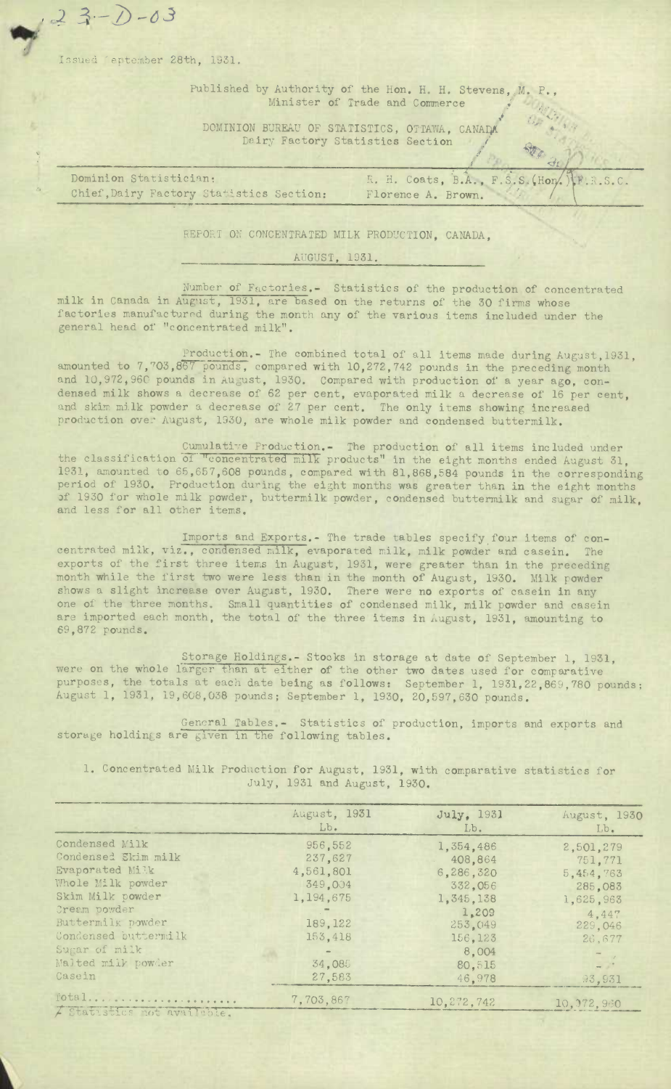Issued (eptember 28th, 1931.

 $-23-0-03$ 

Published by Authority of the Hon. H. H. Stevens, M. P., Minister of Trade and Commerce

DOMINION BUREAU OF STATISTICS, OTTAWA, CANADA Dairy Factory Statistics Section

Dominion Statistician: E. H. Coats, B.A., F.S.S. (Hon. Chief, Dairy Factory Statistics Section: Florence A. Brown.

F.R.S.C.

 $\mathcal{O}_{\mathcal{M}}$ 

STE.

REPORT ON CONCENTRATED MILK PRODUCTION, CANADA,

AUGUST, 1931.

Number of Factories,- Statistics of the production of concentrated milk in Canada in August, 1931, are based on the returns of the 30 firms whose factories manufactured during the month any of the various items included under the general head of "concentrated milk".

Production.- The combined total of all items made during August, 1931, amounted to 7,703,867 pounds, compared with 10,272,742 pounds in the preceding month and 10,972,960 pounds in August, 1930. Compared with production of a year ago, condensed milk shows a decrease of 62 per cent, evaporated milk a decrease of 16 per cent, and skim milk powder a decrease of 27 per cent. The only items showing increased production over August, 1930, are whole milk powder and condensed buttermilk.

Cumulative Production.- The production of all items included under the classification of "concentrated milk products" in the eight months ended August 31, 1931, amounted to 65,657,608 pounds, compared with 81,868,584 pounds in the corresponding period of 1930. Production during the eight months was greater than in the eight months of 1930 for whole milk powder, buttermilk powder, condensed buttermilk and sugar of milk, and less for all other items.

Imports and Exports.- The trade tables specify four items of concentrated milk, viz., condensed milk, evaporated milk, milk powder and casein. The exports of the first three items in August, 1931, were greater than in the preceding month while the first two were less than in the month of August, 1930. Milk powder shows a slight increase over August, 1930. There were no exports of casein in any one of the three months. Small quantities of condensed milk, milk powder and casein are imported each month, the total of the three items in August, 1931, amounting to 69,872 pounds.

Storage Holdings.- Stocks in storage at date of September 1, 1931, were on the whole larger than at either of the other two dates used for comparative purposes, the totals at each date being as follows: September 1, 1931,22,869,780 pounds; August 1, 1931, 19,608,038 pounds; September 1, 1930, 20,597,630 pounds.

General Tables.- Statistics of production, imports and exports and storage holdings are given in the following tables.

1. Concentrated Milk Production for August, 1931, with comparative statistics for July, 1931 and August, 1930.

|                                                                    | August, 1931<br>Lb.          | July. 1931<br>Lb. | August, 1930<br>$Lb$ . |
|--------------------------------------------------------------------|------------------------------|-------------------|------------------------|
| Condensed Milk                                                     | 956.552                      | 1,354,486         | 2,501,279              |
| Condensed Skim milk                                                | 237,627                      | 408.864           | 751.771                |
| Evaporated Milk                                                    | 4,561,801                    | 6,286,320         | 5,454,763              |
| Whole Milk powder                                                  | 349.004                      | 332,056           | 285.083                |
| Skim Milk powder                                                   | 1,194,675                    | 1,345,138         | 1,625,963              |
| Cream powder                                                       |                              | 1,209             | 4,447                  |
| Buttermilk powder                                                  | 189, 122                     | 253,049           | 229.046                |
| Condensed buttermilk                                               | 153,418                      | 156,123           | 26,677                 |
| Sugar of milk                                                      | $\qquad \qquad \blacksquare$ | 8,004             |                        |
| Malted milk powder                                                 | 34,085                       | 80.515            | $\sim$ $^{-1}$         |
| Casein                                                             | 27,583                       | 46.978            | 93.931                 |
| rotal<br>$\overline{1}$ Ctata with $\overline{N}$ with expectation | 7,703,867                    | 10,272,742        | 10, 372, 960           |

ties not available.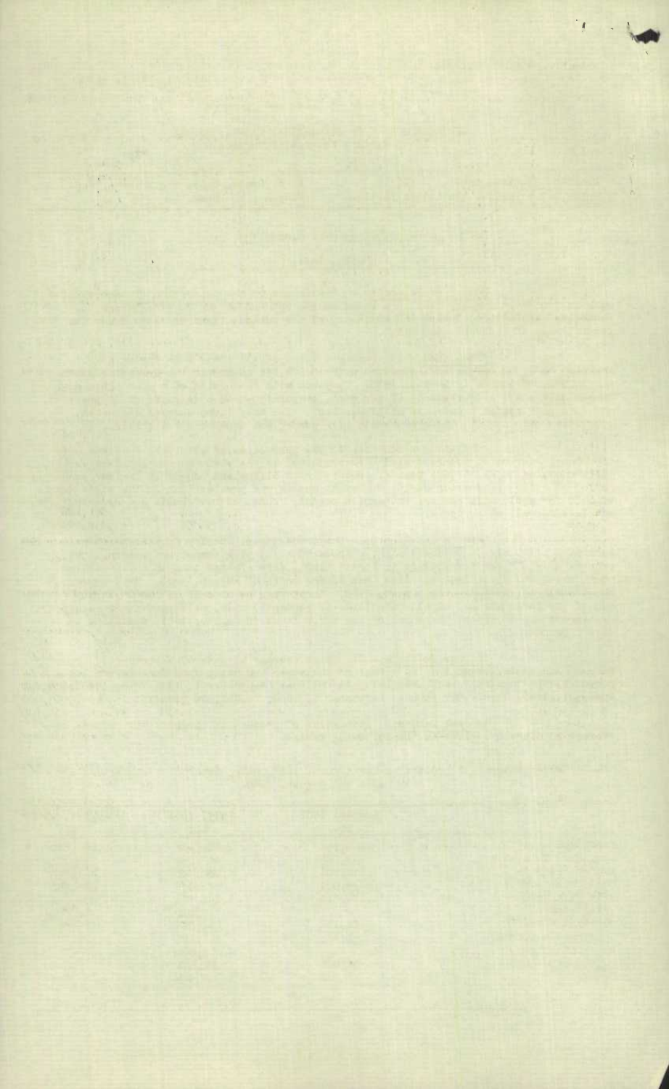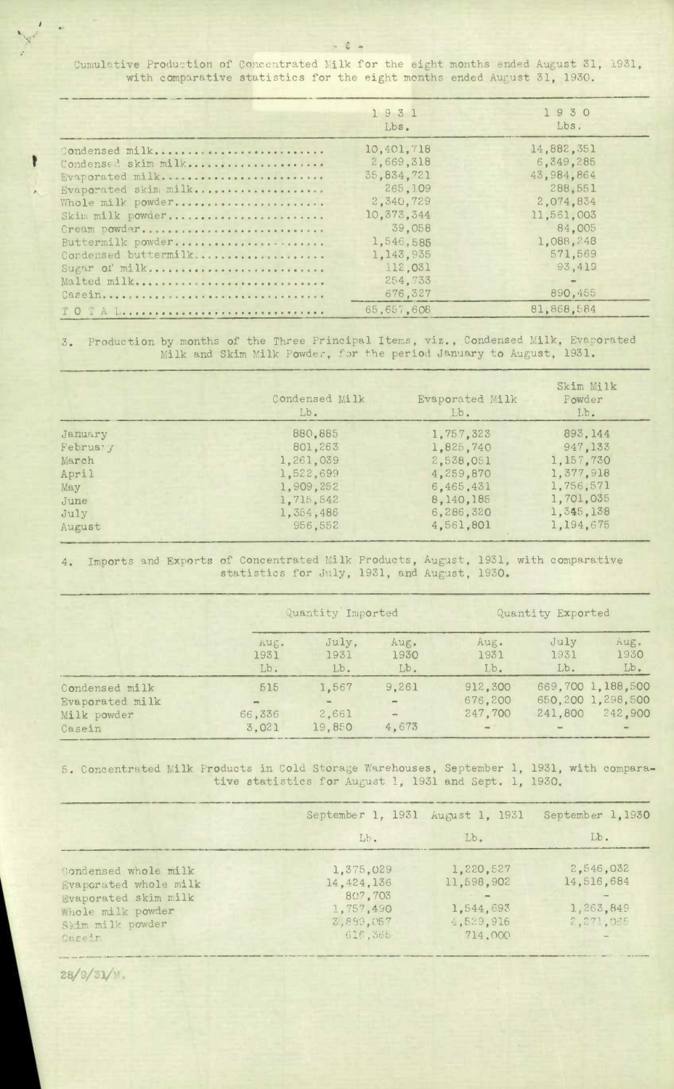Cumulative Production of Concentrated Milk for the eight months ended August 31, 1931, with comparative statistics for the eight months ended August 31, 1930.

|                                           | 1931<br>Lbs.            | 1930<br>Lbs.            |
|-------------------------------------------|-------------------------|-------------------------|
| Condensed milk                            | 10,401,718              | 14,882,351              |
| Condensed skim milk<br>Evaporated milk    | 2,669,318<br>35,834.721 | 6,349,285<br>43,984,864 |
| Evaporated skim milk<br>Whole milk powder | 265,109<br>2,340,729    | 288,551<br>2,074,834    |
| Skim milk powder                          | 10,373,344              | 11,561,003              |
| Cream powder<br>Buttermilk powder         | 39,058<br>1,546,585     | 84.005<br>1,088,248     |
| Condensed buttermilk<br>Sugar of milk     | 1,143,935<br>112.031    | 571.569<br>93.419       |
| Malted milk                               | 254,733<br>676,327      | 890,455                 |
| Casein<br>TO TA Lore                      | 65,657,608              | 81,868,584              |

 $3.5$ Production by months of the Three Principal Items, viz., Condensed Milk, Evaporated Milk and Skim Milk Powder, for the period January to August, 1931.

|                        | Condensed Milk<br>Evaporated Milk<br>$Lb$ .<br>I.b. |           | Skim Milk<br>Powder<br>I.b. |  |
|------------------------|-----------------------------------------------------|-----------|-----------------------------|--|
| January                | 880,885                                             | 1,757,323 | 893.144                     |  |
| Februa <sup>.</sup> J. | 801,263                                             | 1,825,740 | 947.133                     |  |
| March                  | 1,261.039                                           | 2,538,051 | 1,157,730                   |  |
| April                  | 1,522,699                                           | 4,259,870 | 1,377,918                   |  |
| May                    | 1,909,252                                           | 6.465.431 | 1,756,571                   |  |
| June                   | 1.715.542                                           | 8,140,185 | 1,701,035                   |  |
| July                   | 1,354,486                                           | 6,286,320 | 1,345,138                   |  |
| August                 | 956.552                                             | 4.561.801 | 1,194,675                   |  |

Imports and Exports of Concentrated flilk Products, August, 1931, with comparative statistics for July, 1931, and August, 1930.

|                                                            | Quantity Imported                        |                          |                                                                        | Quantity Exported                      |                                                              |
|------------------------------------------------------------|------------------------------------------|--------------------------|------------------------------------------------------------------------|----------------------------------------|--------------------------------------------------------------|
|                                                            | Aug.<br>1931<br>Lb.                      | July,<br>1931<br>Lb.     | Aug.<br>1930<br>Lb.                                                    | Aug.<br>1931<br>$Lb$ .                 | Aug.<br>July<br>1930<br>1931<br>Lb.<br>Lb.                   |
| Condensed milk<br>Evaporated milk<br>Milk powder<br>Casein | 515<br>$\blacksquare$<br>66.336<br>3.021 | 1,567<br>2,661<br>19,850 | 9,261<br>$\overline{\phantom{a}}$<br>$\overline{\phantom{a}}$<br>4,673 | 912,300<br>676,200<br>247,700<br>$ \,$ | 669.700 1.188.500<br>650,200 1,298,500<br>242,900<br>241,800 |

Concentrated Milk Products in Cold Storage Warehouses, September 1, 1931, with comparative statistics for August 1, 1931 and Sept. 1, 1930.

|                                                                                                                           | September 1, 1931 August 1, 1931                                          |                                                              | September 1, 1930                                 |
|---------------------------------------------------------------------------------------------------------------------------|---------------------------------------------------------------------------|--------------------------------------------------------------|---------------------------------------------------|
|                                                                                                                           | $Lb$ .                                                                    | $Lb$ .                                                       | $Lb$ .                                            |
| Condensed whole milk<br>Evaporated whole milk<br>Evaporated skim milk<br>Whole milk powder<br>Skim milk powder<br>Caseir. | 1,375,029<br>14, 424, 136<br>807.703<br>1,757,490<br>3,889,057<br>616,385 | 1,220,527<br>11,598,902<br>1,544,693<br>4,539,916<br>714.000 | 2,546,032<br>14,516,684<br>1,263,849<br>2.271.085 |

 $28/9/31/4$ .

**t** 

P